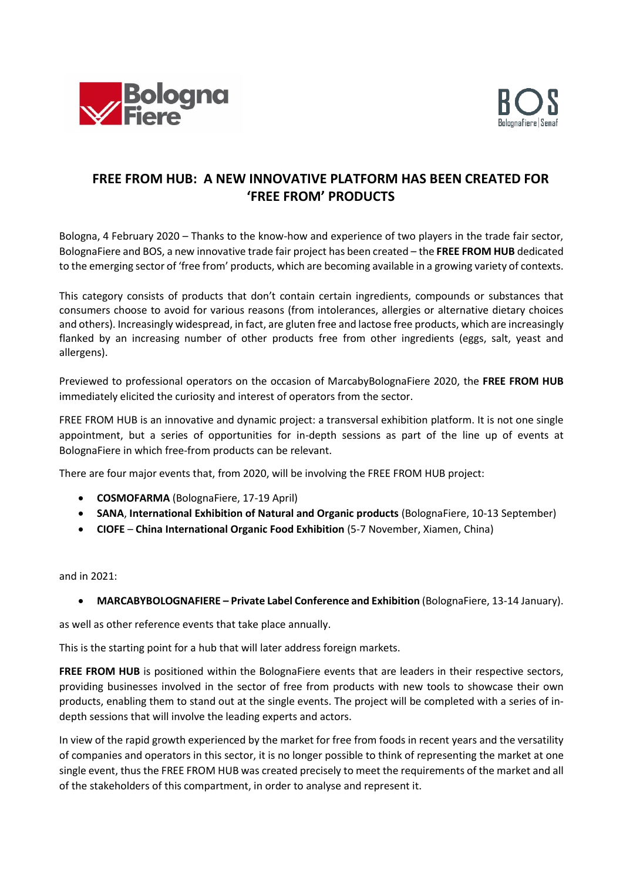



## **FREE FROM HUB: A NEW INNOVATIVE PLATFORM HAS BEEN CREATED FOR 'FREE FROM' PRODUCTS**

Bologna, 4 February 2020 – Thanks to the know-how and experience of two players in the trade fair sector, BolognaFiere and BOS, a new innovative trade fair project has been created – the **FREE FROM HUB** dedicated to the emerging sector of 'free from' products, which are becoming available in a growing variety of contexts.

This category consists of products that don't contain certain ingredients, compounds or substances that consumers choose to avoid for various reasons (from intolerances, allergies or alternative dietary choices and others). Increasingly widespread, in fact, are gluten free and lactose free products, which are increasingly flanked by an increasing number of other products free from other ingredients (eggs, salt, yeast and allergens).

Previewed to professional operators on the occasion of MarcabyBolognaFiere 2020, the **FREE FROM HUB** immediately elicited the curiosity and interest of operators from the sector.

FREE FROM HUB is an innovative and dynamic project: a transversal exhibition platform. It is not one single appointment, but a series of opportunities for in-depth sessions as part of the line up of events at BolognaFiere in which free-from products can be relevant.

There are four major events that, from 2020, will be involving the FREE FROM HUB project:

- **COSMOFARMA** (BolognaFiere, 17-19 April)
- **SANA**, **International Exhibition of Natural and Organic products** (BolognaFiere, 10-13 September)
- **CIOFE China International Organic Food Exhibition** (5-7 November, Xiamen, China)

and in 2021:

• **MARCABYBOLOGNAFIERE – Private Label Conference and Exhibition** (BolognaFiere, 13-14 January).

as well as other reference events that take place annually.

This is the starting point for a hub that will later address foreign markets.

FREE FROM HUB is positioned within the BolognaFiere events that are leaders in their respective sectors, providing businesses involved in the sector of free from products with new tools to showcase their own products, enabling them to stand out at the single events. The project will be completed with a series of indepth sessions that will involve the leading experts and actors.

In view of the rapid growth experienced by the market for free from foods in recent years and the versatility of companies and operators in this sector, it is no longer possible to think of representing the market at one single event, thus the FREE FROM HUB was created precisely to meet the requirements of the market and all of the stakeholders of this compartment, in order to analyse and represent it.